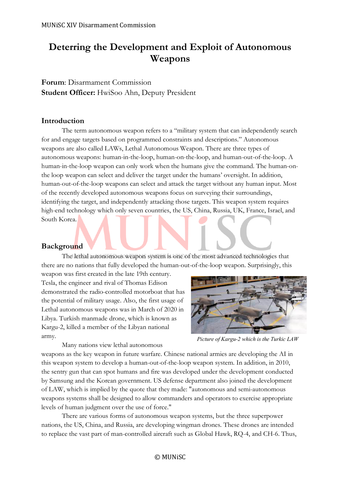# **Deterring the Development and Exploit of Autonomous Weapons**

# **Forum**: Disarmament Commission **Student Officer:** HwiSoo Ahn, Deputy President

#### **Introduction**

The term autonomous weapon refers to a "military system that can independently search for and engage targets based on programmed constraints and descriptions." Autonomous weapons are also called LAWs, Lethal Autonomous Weapon. There are three types of autonomous weapons: human-in-the-loop, human-on-the-loop, and human-out-of-the-loop. A human-in-the-loop weapon can only work when the humans give the command. The human-onthe loop weapon can select and deliver the target under the humans' oversight. In addition, human-out-of-the-loop weapons can select and attack the target without any human input. Most of the recently developed autonomous weapons focus on surveying their surroundings, identifying the target, and independently attacking those targets. This weapon system requires high-end technology which only seven countries, the US, China, Russia, UK, France, Israel, and South Korea.

# **Background**

The lethal autonomous weapon system is one of the most advanced technologies that there are no nations that fully developed the human-out-of-the-loop weapon. Surprisingly, this

weapon was first created in the late 19th century. Tesla, the engineer and rival of Thomas Edison demonstrated the radio-controlled motorboat that has the potential of military usage. Also, the first usage of Lethal autonomous weapons was in March of 2020 in Libya. Turkish manmade drone, which is known as Kargu-2, killed a member of the Libyan national army.



Many nations view lethal autonomous

*Picture of Kargu-2 which is the Turkic LAW*

weapons as the key weapon in future warfare. Chinese national armies are developing the AI in this weapon system to develop a human-out-of-the-loop weapon system. In addition, in 2010, the sentry gun that can spot humans and fire was developed under the development conducted by Samsung and the Korean government. US defense department also joined the development of LAW, which is implied by the quote that they made: "autonomous and semi-autonomous weapons systems shall be designed to allow commanders and operators to exercise appropriate levels of human judgment over the use of force."

There are various forms of autonomous weapon systems, but the three superpower nations, the US, China, and Russia, are developing wingman drones. These drones are intended to replace the vast part of man-controlled aircraft such as Global Hawk, RQ-4, and CH-6. Thus,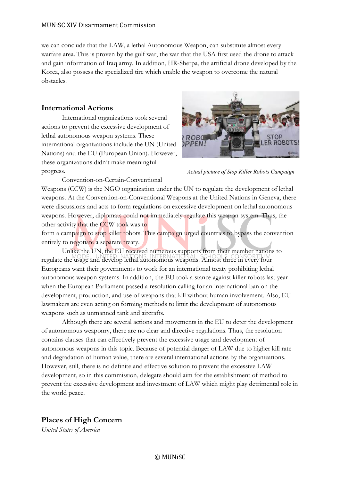we can conclude that the LAW, a lethal Autonomous Weapon, can substitute almost every warfare area. This is proven by the gulf war, the war that the USA first used the drone to attack and gain information of Iraq army. In addition, HR-Sherpa, the artificial drone developed by the Korea, also possess the specialized tire which enable the weapon to overcome the natural obstacles.

# **International Actions**

International organizations took several actions to prevent the excessive development of lethal autonomous weapon systems. These international organizations include the UN (United Nations) and the EU (European Union). However, these organizations didn't make meaningful progress.

Convention-on-Certain-Conventional



*Actual picture of Stop Killer Robots Campaign*

Weapons (CCW) is the NGO organization under the UN to regulate the development of lethal weapons. At the Convention-on-Conventional Weapons at the United Nations in Geneva, there were discussions and acts to form regulations on excessive development on lethal autonomous weapons. However, diplomats could not immediately regulate this weapon system. Thus, the other activity that the CCW took was to

form a campaign to stop killer robots. This campaign urged countries to bypass the convention entirely to negotiate a separate treaty.

Unlike the UN, the EU received numerous supports from their member nations to regulate the usage and develop lethal autonomous weapons. Almost three in every four Europeans want their governments to work for an international treaty prohibiting lethal autonomous weapon systems. In addition, the EU took a stance against killer robots last year when the European Parliament passed a resolution calling for an international ban on the development, production, and use of weapons that kill without human involvement. Also, EU lawmakers are even acting on forming methods to limit the development of autonomous weapons such as unmanned tank and aircrafts.

Although there are several actions and movements in the EU to deter the development of autonomous weaponry, there are no clear and directive regulations. Thus, the resolution contains clauses that can effectively prevent the excessive usage and development of autonomous weapons in this topic. Because of potential danger of LAW due to higher kill rate and degradation of human value, there are several international actions by the organizations. However, still, there is no definite and effective solution to prevent the excessive LAW development, so in this commission, delegate should aim for the establishment of method to prevent the excessive development and investment of LAW which might play detrimental role in the world peace.

# **Places of High Concern**

*United States of America*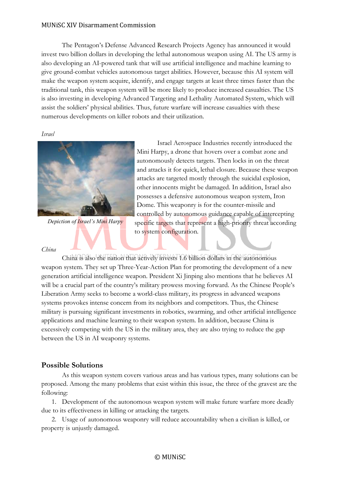The Pentagon's Defense Advanced Research Projects Agency has announced it would invest two billion dollars in developing the lethal autonomous weapon using AI. The US army is also developing an AI-powered tank that will use artificial intelligence and machine learning to give ground-combat vehicles autonomous target abilities. However, because this AI system will make the weapon system acquire, identify, and engage targets at least three times faster than the traditional tank, this weapon system will be more likely to produce increased casualties. The US is also investing in developing Advanced Targeting and Lethality Automated System, which will assist the soldiers' physical abilities. Thus, future warfare will increase casualties with these numerous developments on killer robots and their utilization.

*Israel*



*Depiction of Israel's Mini Harpy*

#### *China*

Dome. This weaponry is for the counter-missile and controlled by autonomous guidance capable of intercepting specific targets that represent a high-priority threat according to system configuration. China is also the nation that actively invests 1.6 billion dollars in the autonomous weapon system. They set up Three-Year-Action Plan for promoting the development of a new generation artificial intelligence weapon. President Xi Jinping also mentions that he believes AI will be a crucial part of the country's military prowess moving forward. As the Chinese People's

Israel Aerospace Industries recently introduced the

Mini Harpy, a drone that hovers over a combat zone and autonomously detects targets. Then locks in on the threat and attacks it for quick, lethal closure. Because these weapon attacks are targeted mostly through the suicidal explosion, other innocents might be damaged. In addition, Israel also possesses a defensive autonomous weapon system, Iron

Liberation Army seeks to become a world-class military, its progress in advanced weapons systems provokes intense concern from its neighbors and competitors. Thus, the Chinese military is pursuing significant investments in robotics, swarming, and other artificial intelligence applications and machine learning to their weapon system. In addition, because China is excessively competing with the US in the military area, they are also trying to reduce the gap between the US in AI weaponry systems.

# **Possible Solutions**

As this weapon system covers various areas and has various types, many solutions can be proposed. Among the many problems that exist within this issue, the three of the gravest are the following:

1. Development of the autonomous weapon system will make future warfare more deadly due to its effectiveness in killing or attacking the targets.

2. Usage of autonomous weaponry will reduce accountability when a civilian is killed, or property is unjustly damaged.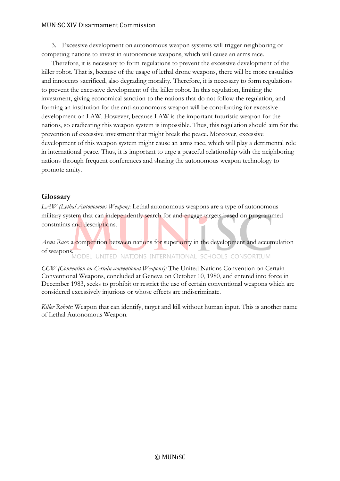3. Excessive development on autonomous weapon systems will trigger neighboring or competing nations to invest in autonomous weapons, which will cause an arms race.

Therefore, it is necessary to form regulations to prevent the excessive development of the killer robot. That is, because of the usage of lethal drone weapons, there will be more casualties and innocents sacrificed, also degrading morality. Therefore, it is necessary to form regulations to prevent the excessive development of the killer robot. In this regulation, limiting the investment, giving economical sanction to the nations that do not follow the regulation, and forming an institution for the anti-autonomous weapon will be contributing for excessive development on LAW. However, because LAW is the important futuristic weapon for the nations, so eradicating this weapon system is impossible. Thus, this regulation should aim for the prevention of excessive investment that might break the peace. Moreover, excessive development of this weapon system might cause an arms race, which will play a detrimental role in international peace. Thus, it is important to urge a peaceful relationship with the neighboring nations through frequent conferences and sharing the autonomous weapon technology to promote amity.

# **Glossary**

*LAW (Lethal Autonomous Weapon)*: Lethal autonomous weapons are a type of autonomous military system that can independently search for and engage targets based on programmed constraints and descriptions.

*Arms Race:* a competition between nations for superiority in the development and accumulation of weapons. MODEL UNITED NATIONS INTERNATIONAL SCHOOLS CONSORTIUM

*CCW (Convention-on-Certain-conventional Weapons):* The United Nations Convention on Certain Conventional Weapons, concluded at Geneva on October 10, 1980, and entered into force in December 1983, seeks to prohibit or restrict the use of certain conventional weapons which are considered excessively injurious or whose effects are indiscriminate.

*Killer Robots:* Weapon that can identify, target and kill without human input. This is another name of Lethal Autonomous Weapon.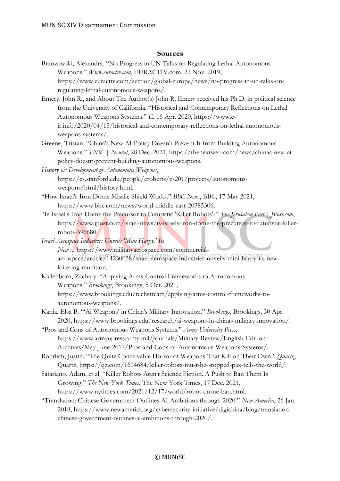#### **Sources**

- Brzozowski, Alexandra. "No Progress in UN Talks on Regulating Lethal Autonomous Weapons." *Www.euractiv.com*, EURACTIV.com, 22 Nov. 2019, https://www.euractiv.com/section/global-europe/news/no-progress-in-un-talks-onregulating-lethal-autonomous-weapons/.
- Emery, John R., and About The Author(s) John R. Emery received his Ph.D. in political science from the University of California. "Historical and Contemporary Reflections on Lethal Autonomous Weapons Systems." *E*, 16 Apr. 2020, https://www.eir.info/2020/04/15/historical-and-contemporary-reflections-on-lethal-autonomousweapons-systems/.
- Greene, Tristan. "China's New AI Policy Doesn't Prevent It from Building Autonomous Weapons." *TNW | Neural*, 28 Dec. 2021, https://thenextweb.com/news/chinas-new-aipolicy-doesnt-prevent-building-autonomous-weapons.

*History & Development of Autonomous Weapons*, https://cs.stanford.edu/people/eroberts/cs201/projects/autonomousweapons/html/history.html.

- "How Israel's Iron Dome Missile Shield Works." *BBC News*, BBC, 17 May 2021, https://www.bbc.com/news/world-middle-east-20385306.
- "Is Israel's Iron Dome the Precursor to Futuristic 'Killer Robots'?" *The Jerusalem Post | JPost.com*, https://www.jpost.com/israel-news/is-israels-iron-dome-the-precursor-to-futuristic-killerrobots-396680.
- *Israel Aerospace Industries Unveils 'Mini Harpy,' Its New ...* https://www.militaryaerospace.com/commercialaerospace/article/14230038/israel-aerospace-industries-unveils-mini-harpy-its-newloitering-munition.
- Kallenborn, Zachary. "Applying Arms-Control Frameworks to Autonomous Weapons." *Brookings*, Brookings, 5 Oct. 2021, https://www.brookings.edu/techstream/applying-arms-control-frameworks-toautonomous-weapons/.
- Kania, Elsa B. "'Ai Weapons' in China's Military Innovation." *Brookings*, Brookings, 30 Apr. 2020, https://www.brookings.edu/research/ai-weapons-in-chinas-military-innovation/.

"Pros and Cons of Autonomous Weapons Systems." *Army University Press*, https://www.armyupress.army.mil/Journals/Military-Review/English-Edition-Archives/May-June-2017/Pros-and-Cons-of-Autonomous-Weapons-Systems/.

Rohrlich, Justin. "The Quite Conceivable Horror of Weapons That Kill on Their Own." *Quartz*, Quartz, https://qz.com/1614684/killer-robots-must-be-stopped-pax-tells-the-world/.

- Satariano, Adam, et al. "Killer Robots Aren't Science Fiction. A Push to Ban Them Is Growing." *The New York Times*, The New York Times, 17 Dec. 2021, https://www.nytimes.com/2021/12/17/world/robot-drone-ban.html.
- "Translation: Chinese Government Outlines AI Ambitions through 2020." *New America*, 26 Jan. 2018, https://www.newamerica.org/cybersecurity-initiative/digichina/blog/translationchinese-government-outlines-ai-ambitions-through-2020/.